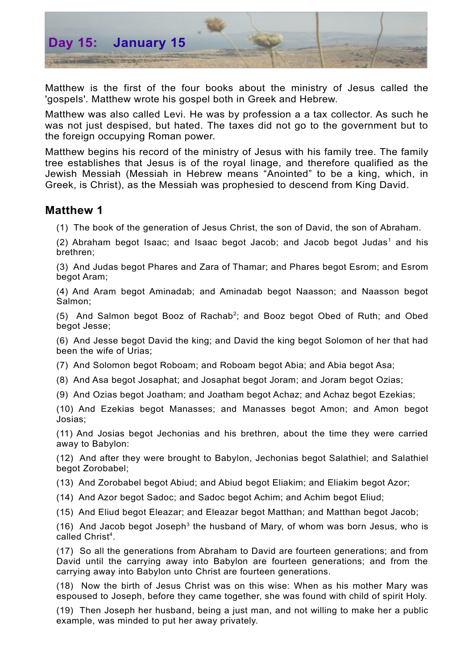

Matthew is the first of the four books about the ministry of Jesus called the 'gospels'. Matthew wrote his gospel both in Greek and Hebrew.

Matthew was also called Levi. He was by profession a a tax collector. As such he was not just despised, but hated. The taxes did not go to the government but to the foreign occupying Roman power.

Matthew begins his record of the ministry of Jesus with his family tree. The family tree establishes that Jesus is of the royal linage, and therefore qualified as the Jewish Messiah (Messiah in Hebrew means "Anointed" to be a king, which, in Greek, is Christ), as the Messiah was prophesied to descend from King David.

## **Matthew 1**

(1) The book of the generation of Jesus Christ, the son of David, the son of Abraham.

(2) Abraham begot Isaac; and Isaac begot Jacob; and Jacob begot Judas [1](#page-1-0) and his brethren;

(3) And Judas begot Phares and Zara of Thamar; and Phares begot Esrom; and Esrom begot Aram;

(4) And Aram begot Aminadab; and Aminadab begot Naasson; and Naasson begot Salmon;

(5) And Salmon begot Booz of Rachab<sup>[2](#page-1-1)</sup>; and Booz begot Obed of Ruth; and Obed begot Jesse;

(6) And Jesse begot David the king; and David the king begot Solomon of her that had been the wife of Urias;

(7) And Solomon begot Roboam; and Roboam begot Abia; and Abia begot Asa;

(8) And Asa begot Josaphat; and Josaphat begot Joram; and Joram begot Ozias;

(9) And Ozias begot Joatham; and Joatham begot Achaz; and Achaz begot Ezekias;

(10) And Ezekias begot Manasses; and Manasses begot Amon; and Amon begot Josias;

(11) And Josias begot Jechonias and his brethren, about the time they were carried away to Babylon:

(12) And after they were brought to Babylon, Jechonias begot Salathiel; and Salathiel begot Zorobabel;

(13) And Zorobabel begot Abiud; and Abiud begot Eliakim; and Eliakim begot Azor;

(14) And Azor begot Sadoc; and Sadoc begot Achim; and Achim begot Eliud;

(15) And Eliud begot Eleazar; and Eleazar begot Matthan; and Matthan begot Jacob;

(16) And Jacob begot Joseph<sup>[3](#page-1-2)</sup> the husband of Mary, of whom was born Jesus, who is called Christ [4](#page-1-3) .

(17) So all the generations from Abraham to David are fourteen generations; and from David until the carrying away into Babylon are fourteen generations; and from the carrying away into Babylon unto Christ are fourteen generations.

(18) Now the birth of Jesus Christ was on this wise: When as his mother Mary was espoused to Joseph, before they came together, she was found with child of spirit Holy.

(19) Then Joseph her husband, being a just man, and not willing to make her a public example, was minded to put her away privately.